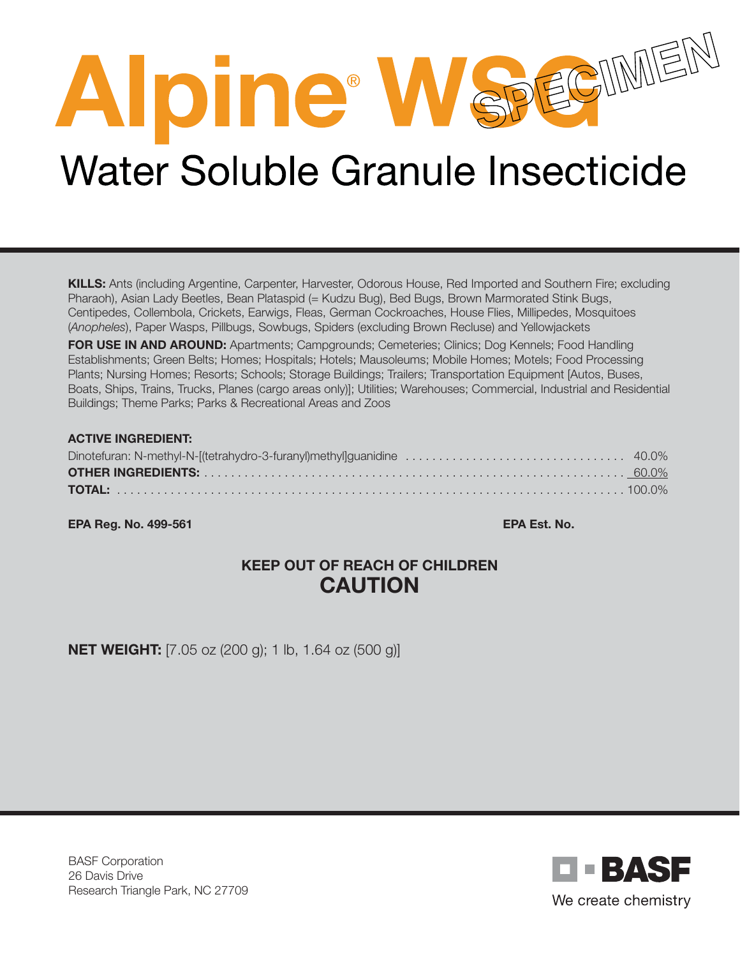# Alpine<sup>®</sup> W SPECIMED

# **Water Soluble Granule Insecticide**

KILLS: Ants (including Argentine, Carpenter, Harvester, Odorous House, Red Imported and Southern Fire; excluding Pharaoh), Asian Lady Beetles, Bean Plataspid (= Kudzu Bug), Bed Bugs, Brown Marmorated Stink Bugs, Centipedes, Collembola, Crickets, Earwigs, Fleas, German Cockroaches, House Flies, Millipedes, Mosquitoes (*Anopheles*), Paper Wasps, Pillbugs, Sowbugs, Spiders (excluding Brown Recluse) and Yellowjackets

FOR USE IN AND AROUND: Apartments; Campgrounds; Cemeteries; Clinics; Dog Kennels; Food Handling Establishments; Green Belts; Homes; Hospitals; Hotels; Mausoleums; Mobile Homes; Motels; Food Processing Plants; Nursing Homes; Resorts; Schools; Storage Buildings; Trailers; Transportation Equipment [Autos, Buses, Boats, Ships, Trains, Trucks, Planes (cargo areas only)]; Utilities; Warehouses; Commercial, Industrial and Residential Buildings; Theme Parks; Parks & Recreational Areas and Zoos

#### ACTIVE INGREDIENT:

EPA Reg. No. 499-561 EPA Est. No.

# KEEP OUT OF REACH OF CHILDREN CAUTION

**NET WEIGHT:** [7.05 oz (200 g); 1 lb, 1.64 oz (500 g)]

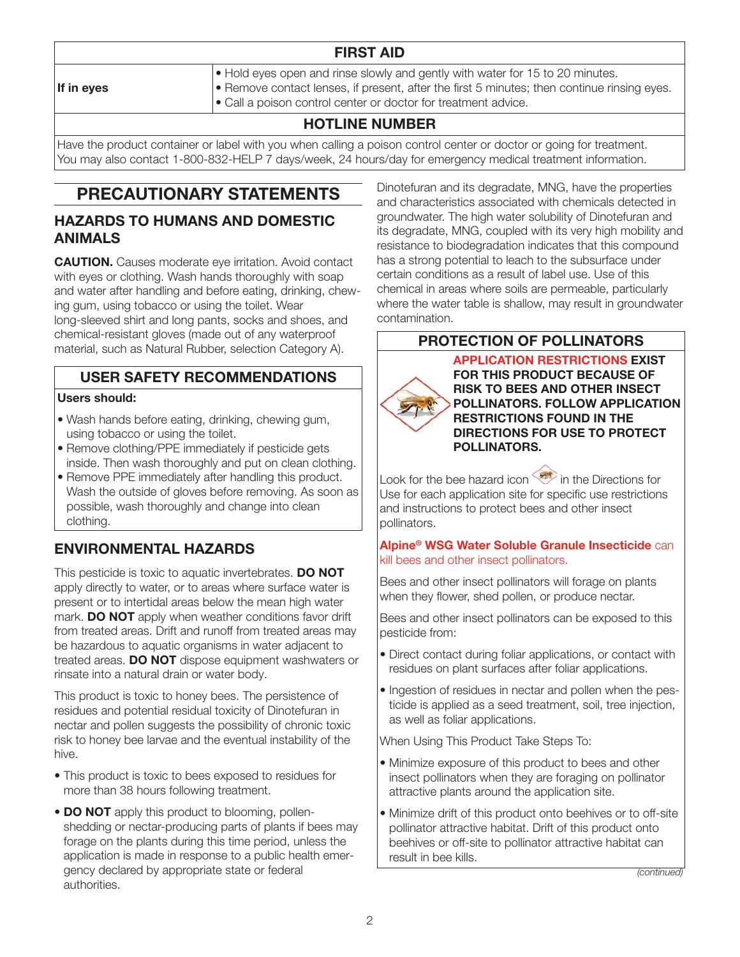# FIRST AID

- Hold eyes open and rinse slowly and gently with water for 15 to 20 minutes.
- Remove contact lenses, if present, after the first 5 minutes; then continue rinsing eyes.
- Call a poison control center or doctor for treatment advice.

# HOTLINE NUMBER

Have the product container or label with you when calling a poison control center or doctor or going for treatment. You may also contact 1-800-832-HELP 7 days/week, 24 hours/day for emergency medical treatment information.

# PRECAUTIONARY STATEMENTS

#### HAZARDS TO HUMANS AND DOMESTIC ANIMALS

**CAUTION.** Causes moderate eye irritation. Avoid contact with eyes or clothing. Wash hands thoroughly with soap and water after handling and before eating, drinking, chewing gum, using tobacco or using the toilet. Wear long-sleeved shirt and long pants, socks and shoes, and chemical-resistant gloves (made out of any waterproof material, such as Natural Rubber, selection Category A).

# USER SAFETY RECOMMENDATIONS

#### Users should:

- Wash hands before eating, drinking, chewing gum, using tobacco or using the toilet.
- Remove clothing/PPE immediately if pesticide gets inside. Then wash thoroughly and put on clean clothing.
- Remove PPE immediately after handling this product. Wash the outside of gloves before removing. As soon as possible, wash thoroughly and change into clean clothing.

# ENVIRONMENTAL HAZARDS

This pesticide is toxic to aquatic invertebrates. DO NOT apply directly to water, or to areas where surface water is present or to intertidal areas below the mean high water mark. **DO NOT** apply when weather conditions favor drift from treated areas. Drift and runoff from treated areas may be hazardous to aquatic organisms in water adjacent to treated areas. DO NOT dispose equipment washwaters or rinsate into a natural drain or water body.

This product is toxic to honey bees. The persistence of residues and potential residual toxicity of Dinotefuran in nectar and pollen suggests the possibility of chronic toxic risk to honey bee larvae and the eventual instability of the hive.

- This product is toxic to bees exposed to residues for more than 38 hours following treatment.
- DO NOT apply this product to blooming, pollenshedding or nectar-producing parts of plants if bees may forage on the plants during this time period, unless the application is made in response to a public health emergency declared by appropriate state or federal authorities.

Dinotefuran and its degradate, MNG, have the properties and characteristics associated with chemicals detected in groundwater. The high water solubility of Dinotefuran and its degradate, MNG, coupled with its very high mobility and resistance to biodegradation indicates that this compound has a strong potential to leach to the subsurface under certain conditions as a result of label use. Use of this chemical in areas where soils are permeable, particularly where the water table is shallow, may result in groundwater contamination.

# PROTECTION OF POLLINATORS



APPLICATION RESTRICTIONS EXIST FOR THIS PRODUCT BECAUSE OF RISK TO BEES AND OTHER INSECT POLLINATORS. FOLLOW APPLICATION RESTRICTIONS FOUND IN THE DIRECTIONS FOR USE TO PROTECT POLLINATORS.

Look for the bee hazard icon  $\overline{\mathscr{L}}$  in the Directions for Use for each application site for specific use restrictions and instructions to protect bees and other insect pollinators.

#### Alpine® WSG Water Soluble Granule Insecticide can kill bees and other insect pollinators.

Bees and other insect pollinators will forage on plants when they flower, shed pollen, or produce nectar.

Bees and other insect pollinators can be exposed to this pesticide from:

- Direct contact during foliar applications, or contact with residues on plant surfaces after foliar applications.
- Ingestion of residues in nectar and pollen when the pesticide is applied as a seed treatment, soil, tree injection, as well as foliar applications.

When Using This Product Take Steps To:

- Minimize exposure of this product to bees and other insect pollinators when they are foraging on pollinator attractive plants around the application site.
- Minimize drift of this product onto beehives or to off-site pollinator attractive habitat. Drift of this product onto beehives or off-site to pollinator attractive habitat can result in bee kills.

*(continued)*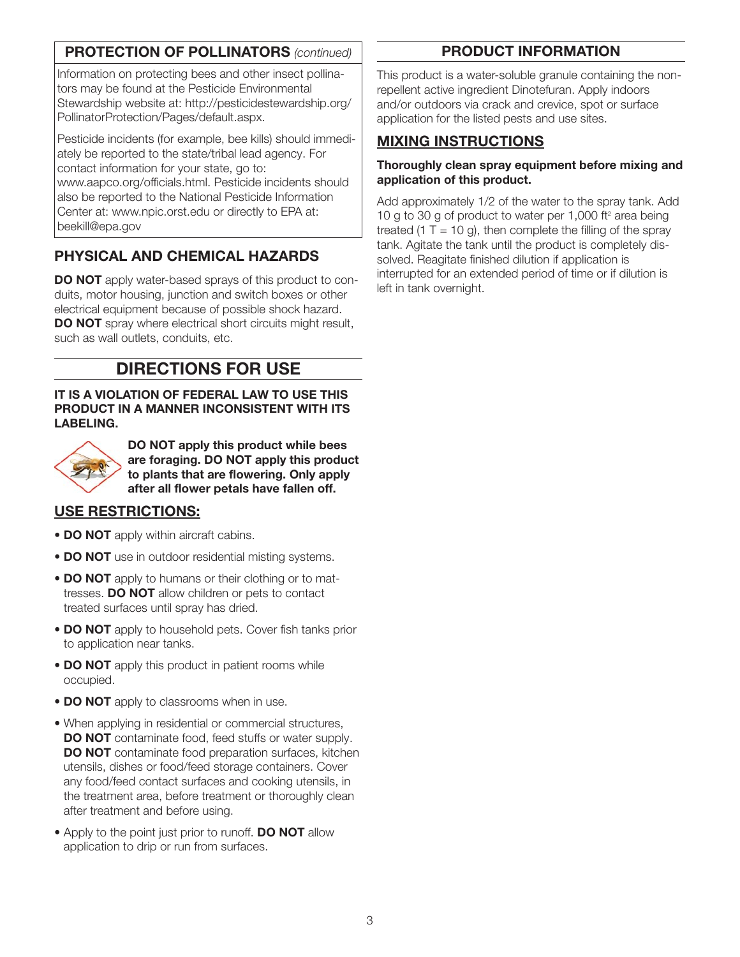# PROTECTION OF POLLINATORS *(continued)*

Information on protecting bees and other insect pollinators may be found at the Pesticide Environmental Stewardship website at: http://pesticidestewardship.org/ PollinatorProtection/Pages/default.aspx.

Pesticide incidents (for example, bee kills) should immediately be reported to the state/tribal lead agency. For contact information for your state, go to: www.aapco.org/officials.html. Pesticide incidents should also be reported to the National Pesticide Information Center at: www.npic.orst.edu or directly to EPA at: beekill@epa.gov

# PHYSICAL AND CHEMICAL HAZARDS

**DO NOT** apply water-based sprays of this product to conduits, motor housing, junction and switch boxes or other electrical equipment because of possible shock hazard. DO NOT spray where electrical short circuits might result, such as wall outlets, conduits, etc.

# DIRECTIONS FOR USE

IT IS A VIOLATION OF FEDERAL LAW TO USE THIS PRODUCT IN A MANNER INCONSISTENT WITH ITS LABELING.



DO NOT apply this product while bees are foraging. DO NOT apply this product to plants that are flowering. Only apply after all flower petals have fallen off.

## USE RESTRICTIONS:

- DO NOT apply within aircraft cabins.
- DO NOT use in outdoor residential misting systems.
- DO NOT apply to humans or their clothing or to mattresses. DO NOT allow children or pets to contact treated surfaces until spray has dried.
- DO NOT apply to household pets. Cover fish tanks prior to application near tanks.
- DO NOT apply this product in patient rooms while occupied.
- DO NOT apply to classrooms when in use.
- When applying in residential or commercial structures, DO NOT contaminate food, feed stuffs or water supply. DO NOT contaminate food preparation surfaces, kitchen utensils, dishes or food/feed storage containers. Cover any food/feed contact surfaces and cooking utensils, in the treatment area, before treatment or thoroughly clean after treatment and before using.
- Apply to the point just prior to runoff. **DO NOT** allow application to drip or run from surfaces.

# PRODUCT INFORMATION

This product is a water-soluble granule containing the nonrepellent active ingredient Dinotefuran. Apply indoors and/or outdoors via crack and crevice, spot or surface application for the listed pests and use sites.

# MIXING INSTRUCTIONS

#### Thoroughly clean spray equipment before mixing and application of this product.

Add approximately 1/2 of the water to the spray tank. Add 10 g to 30 g of product to water per 1,000 ft $2$  area being treated (1 T = 10 g), then complete the filling of the spray tank. Agitate the tank until the product is completely dissolved. Reagitate finished dilution if application is interrupted for an extended period of time or if dilution is left in tank overnight.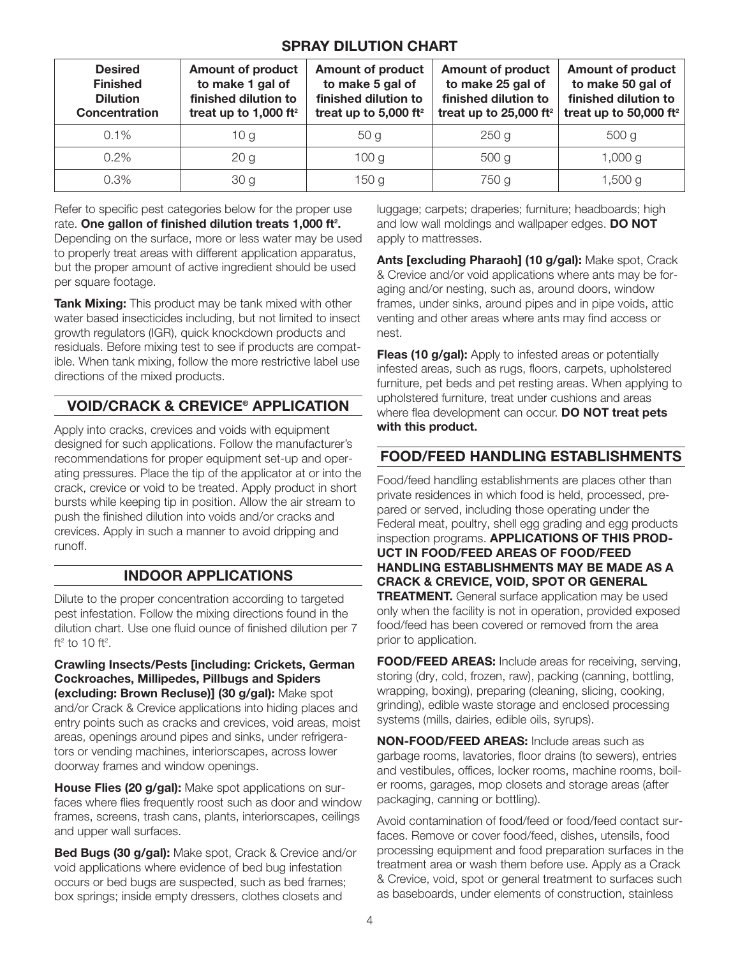#### SPRAY DILUTION CHART

| <b>Desired</b><br><b>Finished</b><br><b>Dilution</b><br>Concentration | <b>Amount of product</b><br>to make 1 gal of<br>finished dilution to<br>treat up to 1,000 ft <sup>2</sup> | <b>Amount of product</b><br>to make 5 gal of<br>finished dilution to<br>treat up to 5,000 ft <sup>2</sup> | <b>Amount of product</b><br>to make 25 gal of<br>finished dilution to<br>treat up to $25,000$ ft <sup>2</sup> | Amount of product  <br>to make 50 gal of<br>finished dilution to<br>treat up to 50,000 ft <sup>2</sup> |
|-----------------------------------------------------------------------|-----------------------------------------------------------------------------------------------------------|-----------------------------------------------------------------------------------------------------------|---------------------------------------------------------------------------------------------------------------|--------------------------------------------------------------------------------------------------------|
| $0.1\%$                                                               | 10 g                                                                                                      | 50 a                                                                                                      | 250 <sub>g</sub>                                                                                              | 500 <sub>g</sub>                                                                                       |
| $0.2\%$                                                               | 20 <sub>g</sub>                                                                                           | 100 <sub>g</sub>                                                                                          | 500 <sub>g</sub>                                                                                              | 1,000 g                                                                                                |
| $0.3\%$                                                               | 30 <sub>q</sub>                                                                                           | 150g                                                                                                      | 750 g                                                                                                         | 1,500 g                                                                                                |

Refer to specific pest categories below for the proper use rate. One gallon of finished dilution treats 1,000 ft<sup>2</sup>. Depending on the surface, more or less water may be used to properly treat areas with different application apparatus, but the proper amount of active ingredient should be used per square footage.

Tank Mixing: This product may be tank mixed with other water based insecticides including, but not limited to insect growth regulators (IGR), quick knockdown products and residuals. Before mixing test to see if products are compatible. When tank mixing, follow the more restrictive label use directions of the mixed products.

# VOID/CRACK & CREVICE® APPLICATION

Apply into cracks, crevices and voids with equipment designed for such applications. Follow the manufacturer's recommendations for proper equipment set-up and operating pressures. Place the tip of the applicator at or into the crack, crevice or void to be treated. Apply product in short bursts while keeping tip in position. Allow the air stream to push the finished dilution into voids and/or cracks and crevices. Apply in such a manner to avoid dripping and runoff.

## INDOOR APPLICATIONS

Dilute to the proper concentration according to targeted pest infestation. Follow the mixing directions found in the dilution chart. Use one fluid ounce of finished dilution per 7 ft<sup>2</sup> to 10 ft<sup>2</sup>.

Crawling Insects/Pests [including: Crickets, German Cockroaches, Millipedes, Pillbugs and Spiders (excluding: Brown Recluse)] (30 g/gal): Make spot and/or Crack & Crevice applications into hiding places and entry points such as cracks and crevices, void areas, moist areas, openings around pipes and sinks, under refrigerators or vending machines, interiorscapes, across lower doorway frames and window openings.

House Flies (20 g/gal): Make spot applications on surfaces where flies frequently roost such as door and window frames, screens, trash cans, plants, interiorscapes, ceilings and upper wall surfaces.

Bed Bugs (30 g/gal): Make spot, Crack & Crevice and/or void applications where evidence of bed bug infestation occurs or bed bugs are suspected, such as bed frames; box springs; inside empty dressers, clothes closets and

luggage; carpets; draperies; furniture; headboards; high and low wall moldings and wallpaper edges. DO NOT apply to mattresses.

Ants [excluding Pharaoh] (10 g/gal): Make spot, Crack & Crevice and/or void applications where ants may be foraging and/or nesting, such as, around doors, window frames, under sinks, around pipes and in pipe voids, attic venting and other areas where ants may find access or nest.

Fleas (10 g/gal): Apply to infested areas or potentially infested areas, such as rugs, floors, carpets, upholstered furniture, pet beds and pet resting areas. When applying to upholstered furniture, treat under cushions and areas where flea development can occur. DO NOT treat pets with this product.

#### FOOD/FEED HANDLING ESTABLISHMENTS

Food/feed handling establishments are places other than private residences in which food is held, processed, prepared or served, including those operating under the Federal meat, poultry, shell egg grading and egg products inspection programs. APPLICATIONS OF THIS PROD-UCT IN FOOD/FEED AREAS OF FOOD/FEED HANDLING ESTABLISHMENTS MAY BE MADE AS A CRACK & CREVICE, VOID, SPOT OR GENERAL **TREATMENT.** General surface application may be used only when the facility is not in operation, provided exposed food/feed has been covered or removed from the area prior to application.

**FOOD/FEED AREAS:** Include areas for receiving, serving, storing (dry, cold, frozen, raw), packing (canning, bottling, wrapping, boxing), preparing (cleaning, slicing, cooking, grinding), edible waste storage and enclosed processing systems (mills, dairies, edible oils, syrups).

NON-FOOD/FEED AREAS: Include areas such as garbage rooms, lavatories, floor drains (to sewers), entries and vestibules, offices, locker rooms, machine rooms, boiler rooms, garages, mop closets and storage areas (after packaging, canning or bottling).

Avoid contamination of food/feed or food/feed contact surfaces. Remove or cover food/feed, dishes, utensils, food processing equipment and food preparation surfaces in the treatment area or wash them before use. Apply as a Crack & Crevice, void, spot or general treatment to surfaces such as baseboards, under elements of construction, stainless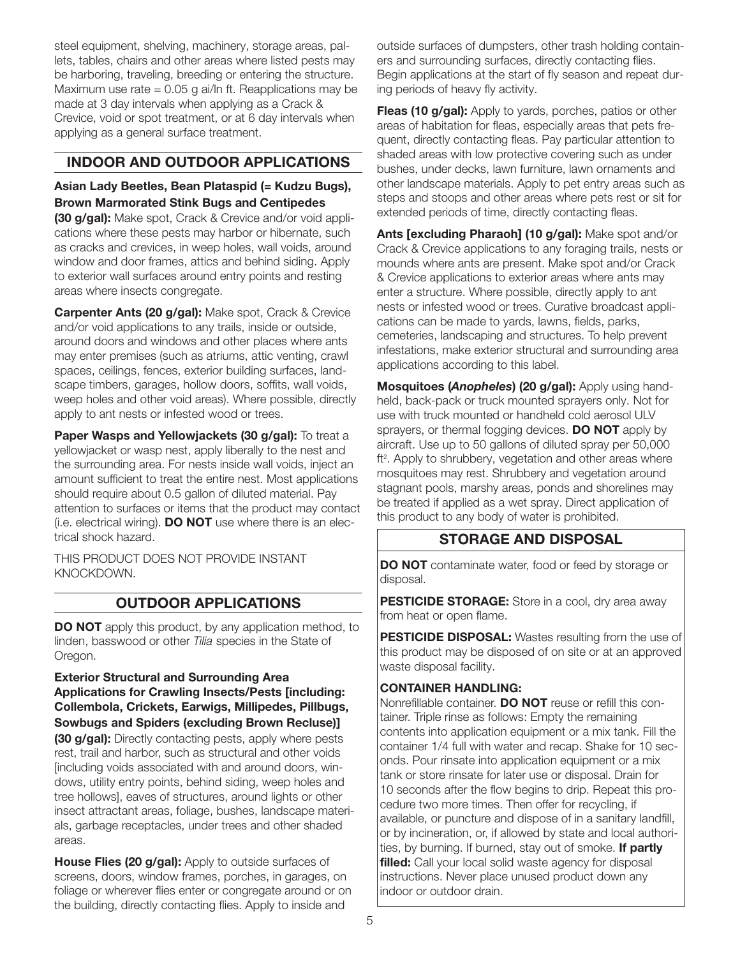steel equipment, shelving, machinery, storage areas, pallets, tables, chairs and other areas where listed pests may be harboring, traveling, breeding or entering the structure. Maximum use rate  $= 0.05$  g ai/ln ft. Reapplications may be made at 3 day intervals when applying as a Crack & Crevice, void or spot treatment, or at 6 day intervals when applying as a general surface treatment.

#### INDOOR AND OUTDOOR APPLICATIONS

Asian Lady Beetles, Bean Plataspid (= Kudzu Bugs), Brown Marmorated Stink Bugs and Centipedes

(30 g/gal): Make spot, Crack & Crevice and/or void applications where these pests may harbor or hibernate, such as cracks and crevices, in weep holes, wall voids, around window and door frames, attics and behind siding. Apply to exterior wall surfaces around entry points and resting areas where insects congregate.

Carpenter Ants (20 g/gal): Make spot, Crack & Crevice and/or void applications to any trails, inside or outside, around doors and windows and other places where ants may enter premises (such as atriums, attic venting, crawl spaces, ceilings, fences, exterior building surfaces, landscape timbers, garages, hollow doors, soffits, wall voids, weep holes and other void areas). Where possible, directly apply to ant nests or infested wood or trees.

Paper Wasps and Yellowjackets (30 g/gal): To treat a yellowjacket or wasp nest, apply liberally to the nest and the surrounding area. For nests inside wall voids, inject an amount sufficient to treat the entire nest. Most applications should require about 0.5 gallon of diluted material. Pay attention to surfaces or items that the product may contact (i.e. electrical wiring).  $DO NOT$  use where there is an electrical shock hazard.

THIS PRODUCT DOES NOT PROVIDE INSTANT KNOCKDOWN.

#### OUTDOOR APPLICATIONS

**DO NOT** apply this product, by any application method, to linden, basswood or other *Tilia* species in the State of Oregon.

#### Exterior Structural and Surrounding Area Applications for Crawling Insects/Pests [including: Collembola, Crickets, Earwigs, Millipedes, Pillbugs, Sowbugs and Spiders (excluding Brown Recluse)]

(30 g/gal): Directly contacting pests, apply where pests rest, trail and harbor, such as structural and other voids [including voids associated with and around doors, windows, utility entry points, behind siding, weep holes and tree hollows], eaves of structures, around lights or other insect attractant areas, foliage, bushes, landscape materials, garbage receptacles, under trees and other shaded areas.

House Flies (20 g/gal): Apply to outside surfaces of screens, doors, window frames, porches, in garages, on foliage or wherever flies enter or congregate around or on the building, directly contacting flies. Apply to inside and

outside surfaces of dumpsters, other trash holding containers and surrounding surfaces, directly contacting flies. Begin applications at the start of fly season and repeat during periods of heavy fly activity.

**Fleas (10 g/gal):** Apply to yards, porches, patios or other areas of habitation for fleas, especially areas that pets frequent, directly contacting fleas. Pay particular attention to shaded areas with low protective covering such as under bushes, under decks, lawn furniture, lawn ornaments and other landscape materials. Apply to pet entry areas such as steps and stoops and other areas where pets rest or sit for extended periods of time, directly contacting fleas.

Ants [excluding Pharaoh] (10 g/gal): Make spot and/or Crack & Crevice applications to any foraging trails, nests or mounds where ants are present. Make spot and/or Crack & Crevice applications to exterior areas where ants may enter a structure. Where possible, directly apply to ant nests or infested wood or trees. Curative broadcast applications can be made to yards, lawns, fields, parks, cemeteries, landscaping and structures. To help prevent infestations, make exterior structural and surrounding area applications according to this label.

Mosquitoes (*Anopheles*) (20 g/gal): Apply using handheld, back-pack or truck mounted sprayers only. Not for use with truck mounted or handheld cold aerosol ULV sprayers, or thermal fogging devices. **DO NOT** apply by aircraft. Use up to 50 gallons of diluted spray per 50,000 ft<sup>2</sup>. Apply to shrubbery, vegetation and other areas where mosquitoes may rest. Shrubbery and vegetation around stagnant pools, marshy areas, ponds and shorelines may be treated if applied as a wet spray. Direct application of this product to any body of water is prohibited.

#### STORAGE AND DISPOSAL

DO NOT contaminate water, food or feed by storage or disposal.

PESTICIDE STORAGE: Store in a cool, dry area away from heat or open flame.

PESTICIDE DISPOSAL: Wastes resulting from the use of this product may be disposed of on site or at an approved waste disposal facility.

#### CONTAINER HANDLING:

Nonrefillable container. **DO NOT** reuse or refill this container. Triple rinse as follows: Empty the remaining contents into application equipment or a mix tank. Fill the container 1/4 full with water and recap. Shake for 10 seconds. Pour rinsate into application equipment or a mix tank or store rinsate for later use or disposal. Drain for 10 seconds after the flow begins to drip. Repeat this procedure two more times. Then offer for recycling, if available, or puncture and dispose of in a sanitary landfill, or by incineration, or, if allowed by state and local authorities, by burning. If burned, stay out of smoke. If partly filled: Call your local solid waste agency for disposal instructions. Never place unused product down any indoor or outdoor drain.